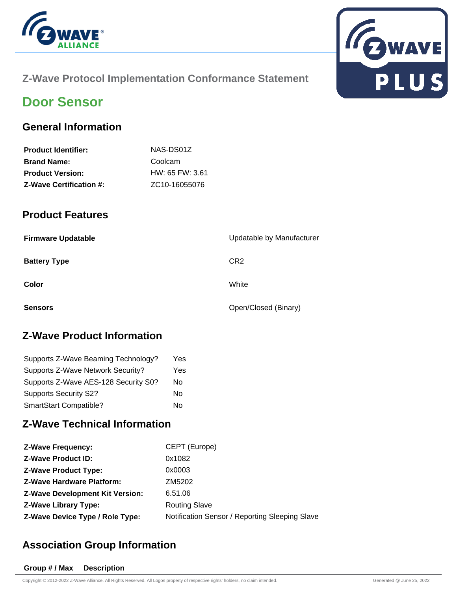



#### **Z-Wave Protocol Implementation Conformance Statement**

## **Door Sensor**

#### **General Information**

| NAS-DS01Z                  |
|----------------------------|
| Coolcam                    |
| HW: 65 FW: 3.61            |
| ZC <sub>10</sub> -16055076 |
|                            |

#### **Product Features**

| <b>Firmware Updatable</b> | Updatable by Manufacturer |
|---------------------------|---------------------------|
| <b>Battery Type</b>       | CR <sub>2</sub>           |
| Color                     | White                     |
| <b>Sensors</b>            | Open/Closed (Binary)      |

#### **Z-Wave Product Information**

| Supports Z-Wave Beaming Technology?  | Yes |
|--------------------------------------|-----|
| Supports Z-Wave Network Security?    | Yes |
| Supports Z-Wave AES-128 Security S0? | No  |
| <b>Supports Security S2?</b>         | Nο  |
| <b>SmartStart Compatible?</b>        | N٥  |

#### **Z-Wave Technical Information**

| <b>Z-Wave Frequency:</b>               | CEPT (Europe)                                  |
|----------------------------------------|------------------------------------------------|
| <b>Z-Wave Product ID:</b>              | 0x1082                                         |
| <b>Z-Wave Product Type:</b>            | 0x0003                                         |
| <b>Z-Wave Hardware Platform:</b>       | ZM5202                                         |
| <b>Z-Wave Development Kit Version:</b> | 6.51.06                                        |
| <b>Z-Wave Library Type:</b>            | <b>Routing Slave</b>                           |
| Z-Wave Device Type / Role Type:        | Notification Sensor / Reporting Sleeping Slave |

### **Association Group Information**

#### **Group # / Max Description**